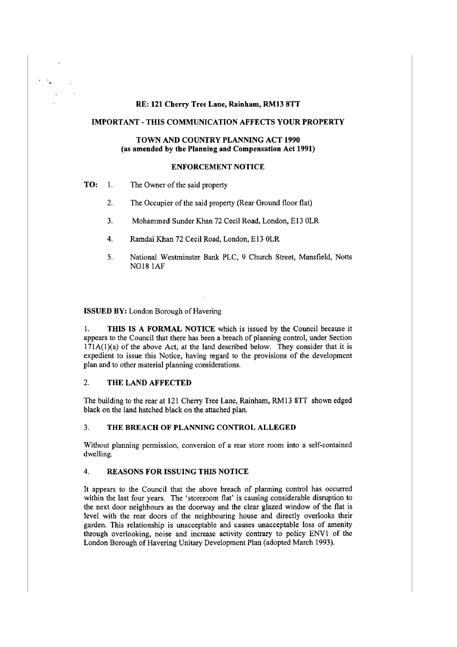#### RE: 121 Cherry Tree Lane, Rainham, RM13 8TT

#### IMPORTANT - THIS COMMUNICATION AFFECTS YOUR PROPERTY

### TOWN AND COUNTRY PLANNING ACT 1990 (as amended by the Planning and Compensation Act 1991)

### ENFORCEMENT NOTICE

- **TO:** 1. The Owner of the said property
	- 2. The Occupier of the said property (Rear Ground floor flat)
	- 3. Mohammed Sunder Khan 72 Cecil Road, London, E13 OLR
	- 4. Ramdai Khan 72 Cecil Road, London, El3 OLR
	- 5. National Westminster Bank PLC, 9 Church Street, Mansfield, Notts NG18 lAF

#### ISSUED BY: London Borough of Havering

I. THIS IS A FORMAL NOTICE which is issued by the Council because it appears to the Council that there has been a breach of planning control, under Section  $171A(1)(a)$  of the above Act, at the land described below. They consider that it is expedient to issue this Notice, having regard to the provisions of the development plan and to other material planning considerations.

### 2. THE LAND AFFECTED

The building to the rear at 121 Cherry Tree Lane, Rainham, RM13 8TT shown edged black on the land hatched black on the attached plan.

#### 3. THE BREACH OF PLANNING CONTROL ALLEGED

Without planning permission, conversion of a rear store room into a self-contained dwelling.

#### 4. REASONS FOR ISSUING THIS NOTICE

It appears to the Council that the above breach of planning control has occurred within the last four years. The 'storeroom flat' is causing considerable disruption to the next door neighbours as the doorway and the clear glazed window of the flat is level with the rear doors of the neighbouring house and directly overlooks their garden. This relationship is unacceptable and causes unacceptable loss of amenity through overlooking, noise and increase activity contrary to policy ENVl of the London Borough of Havering Unitary Development Plan (adopted March 1993).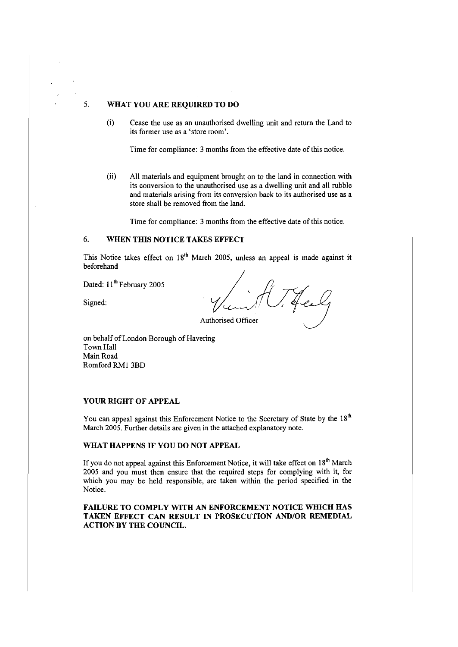# 5. **WHAT YOU ARE REQUIRED TO DO**

(i) Cease the use as an unauthorised dwelling unit and return the Land to its former use as a 'store room'.

Time for compliance: 3 months from the effective date of this notice.

(ii) All materials and equipment brought on to the land in connection with its conversion to the unauthorised use as a dwelling unit and all rubble and materials arising from its conversion back to its authorised use as a store shall be removed from the land.

Time for compliance: 3 months from the effective date of this notice.

### 6. **WHEN THIS NOTICE TAKES EFFECT**

This Notice takes effect on 18<sup>th</sup> March 2005, unless an appeal is made against it beforehand

Dated: 11<sup>th</sup> February 2005

Signed:

Jeel

Authorised Officer

on behalf of London Borough of Havering Town Hall Main Road Romford RMl 3BD

### **YOUR RIGHT OF APPEAL**

You can appeal against this Enforcement Notice to the Secretary of State by the 18<sup>th</sup> March 2005. Further details are given in the attached explanatory note.

## **WHAT HAPPENS IF YOU DO NOT APPEAL**

Ifyou do not appeal against this Enforcement Notice, it will take effect on **1**S'h March 2005 and you must then ensure that the required steps for complying with it, for which you may be held responsible, are taken within the period specified in the Notice.

**FAILURE TO COMPLY WITH AN ENFORCEMENT NOTICE WHICH HAS TAKEN EFFECT CAN RESULT IN PROSECUTION AND/OR REMEDIAL ACTION BY THE COUNCIL.**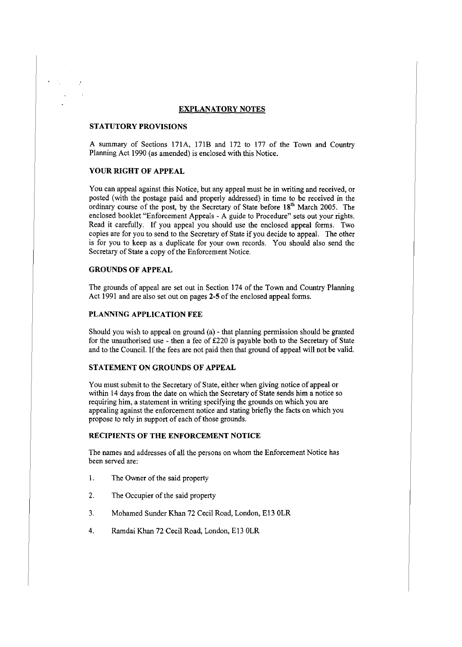#### **EXPLANATORY NOTES**

#### **STATUTORY PROVISIONS**

A summary of Sections 171A, 171B and 172 to 177 of the Town and Country Planning Act 1990 (as amended) is enclosed with this Notice.

## **YOUR RIGHT OF APPEAL**

You can appeal against this Notice, but any appeal must be in writing and received, or posted (with the postage paid and properly addressed) in time to be received in the ordinary course of the post, by the Secretary of State before 18<sup>th</sup> March 2005. The enclosed booklet "Enforcement Appeals - A guide to Procedure" sets out your rights. Read it carefully. If you appeal you should use the enclosed appeal forms. Two copies are for you to send to the Secretary of State if you decide to appeal. The other is for you to keep as a duplicate for your own records. You should also send the Secretary of State a copy of the Enforcement Notice.

### **GROUNDS OF APPEAL**

The grounds of appeal are set out in Section 174 of the Town and Country Planning Act 1991 and are also set out on pages **2-5** of the enclosed appeal forms.

#### **PLANNING APPLICATION FEE**

Should you wish to appeal on ground (a) - that planning permission should be granted for the unauthorised use - then a fee of  $£220$  is payable both to the Secretary of State and to the Council. Ifthe fees are not paid then that ground of appeal will not be valid.

### **STATEMENT ON GROUNDS OF APPEAL**

You must submit to the Secretary of State, either when giving notice of appeal or within 14 days from the date on which the Secretary of State sends him a notice so requiring him, a statement in writing specifying the grounds on which you are appealing against the enforcement notice and stating briefly the facts on which you propose to rely in support of each of those grounds.

### **RECIPIENTS OF THE ENFORCEMENT NOTICE**

The names and addresses of all the persons on whom the Enforcement Notice has been served are:

- 1. The Owner of the said property
- 2. The Occupier of the said property
- 3. Mohamed Sunder Khan 72 Cecil Road, London, El3 OLR
- 4. Rarndai Khan 72 Cecil Road, London, El3 OLR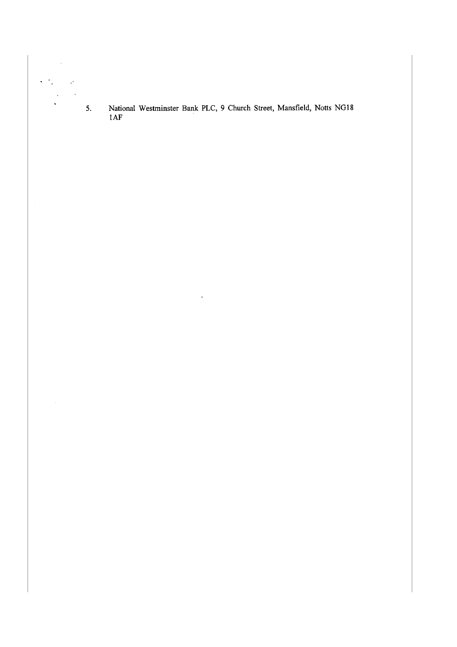5. National Westminster Bank PLC, 9 Church Street, Mansfield, Notts NG18  $1AF$ 

 $\hat{\mathbf{r}}$ 

 $\ddot{\phantom{0}}$ 

l.

 $\bar{\phantom{a}}$  $\ddot{\phantom{0}}$